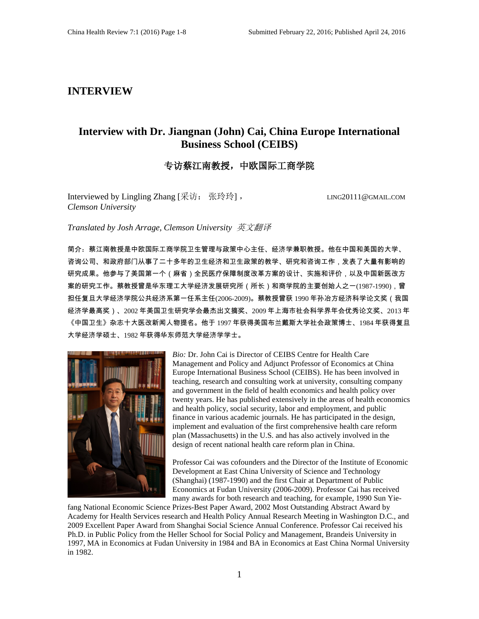### **INTERVIEW**

# **Interview with Dr. Jiangnan (John) Cai, China Europe International Business School (CEIBS)**

### 专访蔡江南教授,中欧国际工商学院

Interviewed by Lingling Zhang [采访: 张玲玲], LING20111@GMAIL.COM *Clemson University*

*Translated by Josh Arrage, Clemson University* 英文翻译

简介:蔡江南教授是中欧国际工商学院卫生管理与政策中心主任、经济学兼职教授。他在中国和美国的大学、 咨询公司、和政府部门从事了二十多年的卫生经济和卫生政策的教学、研究和咨询工作,发表了大量有影响的 研究成果。他参与了美国第一个(麻省)全民医疗保障制度改革方案的设计、实施和评价,以及中国新医改方 案的研究工作。蔡教授曾是华东理工大学经济发展研究所(所长)和商学院的主要创始人之一(1987-1990),曾 担任复旦大学经济学院公共经济系第一任系主任(2006-2009)。蔡教授曾获 1990 年孙冶方经济科学论文奖(我国 经济学最高奖)、2002 年美国卫生研究学会最杰出文摘奖、2009 年上海市社会科学界年会优秀论文奖、2013 年 《中国卫生》杂志十大医改新闻人物提名。他于 1997 年获得美国布兰戴斯大学社会政策博士、1984 年获得复旦 大学经济学硕士、1982 年获得华东师范大学经济学学士。



*Bio:* Dr. John Cai is Director of CEIBS Centre for Health Care Management and Policy and Adjunct Professor of Economics at China Europe International Business School (CEIBS). He has been involved in teaching, research and consulting work at university, consulting company and government in the field of health economics and health policy over twenty years. He has published extensively in the areas of health economics and health policy, social security, labor and employment, and public finance in various academic journals. He has participated in the design, implement and evaluation of the first comprehensive health care reform plan (Massachusetts) in the U.S. and has also actively involved in the design of recent national health care reform plan in China.

Professor Cai was cofounders and the Director of the Institute of Economic Development at East China University of Science and Technology (Shanghai) (1987-1990) and the first Chair at Department of Public Economics at Fudan University (2006-2009). Professor Cai has received many awards for both research and teaching, for example, 1990 Sun Yie-

fang National Economic Science Prizes-Best Paper Award, 2002 Most Outstanding Abstract Award by Academy for Health Services research and Health Policy Annual Research Meeting in Washington D.C., and 2009 Excellent Paper Award from Shanghai Social Science Annual Conference. Professor Cai received his Ph.D. in Public Policy from the Heller School for Social Policy and Management, Brandeis University in 1997, MA in Economics at Fudan University in 1984 and BA in Economics at East China Normal University in 1982.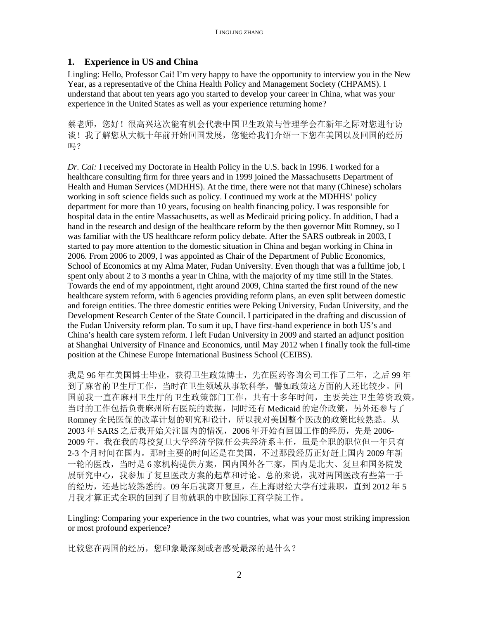### **1. Experience in US and China**

Lingling: Hello, Professor Cai! I'm very happy to have the opportunity to interview you in the New Year, as a representative of the China Health Policy and Management Society (CHPAMS). I understand that about ten years ago you started to develop your career in China, what was your experience in the United States as well as your experience returning home?

蔡老师,您好!很高兴这次能有机会代表中国卫生政策与管理学会在新年之际对您进行访 谈!我了解您从大概十年前开始回国发展,您能给我们介绍一下您在美国以及回国的经历 吗?

*Dr. Cai:* I received my Doctorate in Health Policy in the U.S. back in 1996. I worked for a healthcare consulting firm for three years and in 1999 joined the Massachusetts Department of Health and Human Services (MDHHS). At the time, there were not that many (Chinese) scholars working in soft science fields such as policy. I continued my work at the MDHHS' policy department for more than 10 years, focusing on health financing policy. I was responsible for hospital data in the entire Massachusetts, as well as Medicaid pricing policy. In addition, I had a hand in the research and design of the healthcare reform by the then governor Mitt Romney, so I was familiar with the US healthcare reform policy debate. After the SARS outbreak in 2003, I started to pay more attention to the domestic situation in China and began working in China in 2006. From 2006 to 2009, I was appointed as Chair of the Department of Public Economics, School of Economics at my Alma Mater, Fudan University. Even though that was a fulltime job, I spent only about 2 to 3 months a year in China, with the majority of my time still in the States. Towards the end of my appointment, right around 2009, China started the first round of the new healthcare system reform, with 6 agencies providing reform plans, an even split between domestic and foreign entities. The three domestic entities were Peking University, Fudan University, and the Development Research Center of the State Council. I participated in the drafting and discussion of the Fudan University reform plan. To sum it up, I have first-hand experience in both US's and China's health care system reform. I left Fudan University in 2009 and started an adjunct position at Shanghai University of Finance and Economics, until May 2012 when I finally took the full-time position at the Chinese Europe International Business School (CEIBS).

我是 96 年在美国博士毕业,获得卫生政策博士,先在医药咨询公司工作了三年,之后 99 年 到了麻省的卫生厅工作,当时在卫生领域从事软科学,譬如政策这方面的人还比较少。回 国前我一直在麻州卫生厅的卫生政策部门工作,共有十多年时间,主要关注卫生筹资政策, 当时的工作包括负责麻州所有医院的数据,同时还有 Medicaid 的定价政策,另外还参与了 Romney 全民医保的改革计划的研究和设计,所以我对美国整个医改的政策比较熟悉。从 2003年 SARS 之后我开始关注国内的情况, 2006年开始有回国工作的经历, 先是 2006-2009 年,我在我的母校复旦大学经济学院任公共经济系主任,虽是全职的职位但一年只有 2-3 个月时间在国内。那时主要的时间还是在美国,不过那段经历正好赶上国内 2009 年新 一轮的医改,当时是 6 家机构提供方案,国内国外各三家,国内是北大、复旦和国务院发 展研究中心,我参加了复旦医改方案的起草和讨论。总的来说,我对两国医改有些第一手 的经历,还是比较熟悉的。09 年后我离开复旦,在上海财经大学有过兼职,直到 2012 年 5 月我才算正式全职的回到了目前就职的中欧国际工商学院工作。

Lingling: Comparing your experience in the two countries, what was your most striking impression or most profound experience?

比较您在两国的经历,您印象最深刻或者感受最深的是什么?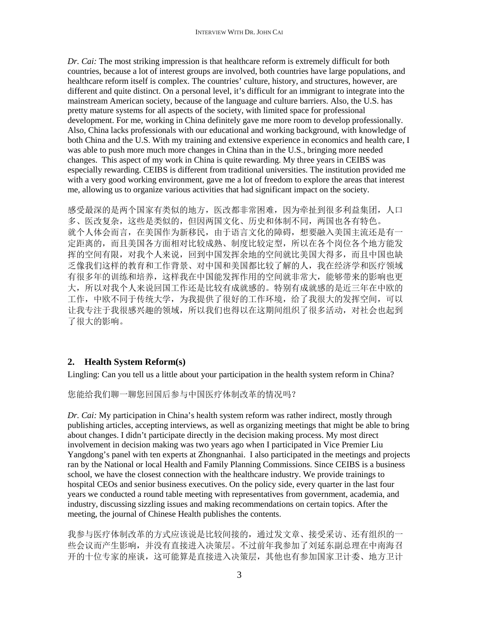*Dr. Cai:* The most striking impression is that healthcare reform is extremely difficult for both countries, because a lot of interest groups are involved, both countries have large populations, and healthcare reform itself is complex. The countries' culture, history, and structures, however, are different and quite distinct. On a personal level, it's difficult for an immigrant to integrate into the mainstream American society, because of the language and culture barriers. Also, the U.S. has pretty mature systems for all aspects of the society, with limited space for professional development. For me, working in China definitely gave me more room to develop professionally. Also, China lacks professionals with our educational and working background, with knowledge of both China and the U.S. With my training and extensive experience in economics and health care, I was able to push more much more changes in China than in the U.S., bringing more needed changes. This aspect of my work in China is quite rewarding. My three years in CEIBS was especially rewarding. CEIBS is different from traditional universities. The institution provided me with a very good working environment, gave me a lot of freedom to explore the areas that interest me, allowing us to organize various activities that had significant impact on the society.

感受最深的是两个国家有类似的地方,医改都非常困难,因为牵扯到很多利益集团,人口 多、医改复杂,这些是类似的,但因两国文化、历史和体制不同,两国也各有特色。 就个人体会而言,在美国作为新移民,由于语言文化的障碍,想要融入美国主流还是有一 定距离的,而且美国各方面相对比较成熟、制度比较定型,所以在各个岗位各个地方能发 挥的空间有限,对我个人来说,回到中国发挥余地的空间就比美国大得多,而且中国也缺 乏像我们这样的教育和工作背景、对中国和美国都比较了解的人,我在经济学和医疗领域 有很多年的训练和培养,这样我在中国能发挥作用的空间就非常大,能够带来的影响也更 大,所以对我个人来说回国工作还是比较有成就感的。特别有成就感的是近三年在中欧的 工作,中欧不同于传统大学,为我提供了很好的工作环境,给了我很大的发挥空间,可以 让我专注于我很感兴趣的领域,所以我们也得以在这期间组织了很多活动,对社会也起到 了很大的影响。

## **2. Health System Reform(s)**

Lingling: Can you tell us a little about your participation in the health system reform in China?

您能给我们聊一聊您回国后参与中国医疗体制改革的情况吗?

*Dr. Cai:* My participation in China's health system reform was rather indirect, mostly through publishing articles, accepting interviews, as well as organizing meetings that might be able to bring about changes. I didn't participate directly in the decision making process. My most direct involvement in decision making was two years ago when I participated in Vice Premier Liu Yangdong's panel with ten experts at Zhongnanhai. I also participated in the meetings and projects ran by the National or local Health and Family Planning Commissions. Since CEIBS is a business school, we have the closest connection with the healthcare industry. We provide trainings to hospital CEOs and senior business executives. On the policy side, every quarter in the last four years we conducted a round table meeting with representatives from government, academia, and industry, discussing sizzling issues and making recommendations on certain topics. After the meeting, the journal of Chinese Health publishes the contents.

我参与医疗体制改革的方式应该说是比较间接的,通过发文章、接受采访、还有组织的一 些会议而产生影响,并没有直接进入决策层。不过前年我参加了刘延东副总理在中南海召 开的十位专家的座谈,这可能算是直接进入决策层,其他也有参加国家卫计委、地方卫计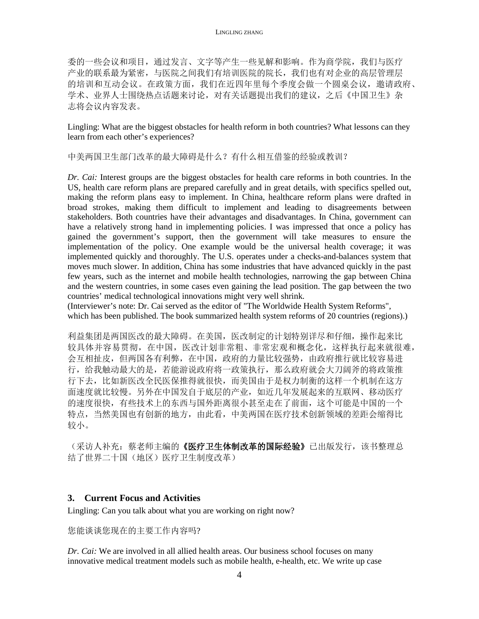委的一些会议和项目,通过发言、文字等产生一些见解和影响。作为商学院,我们与医疗 产业的联系最为紧密,与医院之间我们有培训医院的院长,我们也有对企业的高层管理层 的培训和互动会议。在政策方面,我们在近四年里每个季度会做一个圆桌会议,邀请政府、 学术、业界人士围绕热点话题来讨论,对有关话题提出我们的建议,之后《中国卫生》杂 志将会议内容发表。

Lingling: What are the biggest obstacles for health reform in both countries? What lessons can they learn from each other's experiences?

中美两国卫生部门改革的最大障碍是什么?有什么相互借鉴的经验或教训?

*Dr. Cai:* Interest groups are the biggest obstacles for health care reforms in both countries. In the US, health care reform plans are prepared carefully and in great details, with specifics spelled out, making the reform plans easy to implement. In China, healthcare reform plans were drafted in broad strokes, making them difficult to implement and leading to disagreements between stakeholders. Both countries have their advantages and disadvantages. In China, government can have a relatively strong hand in implementing policies. I was impressed that once a policy has gained the government's support, then the government will take measures to ensure the implementation of the policy. One example would be the universal health coverage; it was implemented quickly and thoroughly. The U.S. operates under a checks-and-balances system that moves much slower. In addition, China has some industries that have advanced quickly in the past few years, such as the internet and mobile health technologies, narrowing the gap between China and the western countries, in some cases even gaining the lead position. The gap between the two countries' medical technological innovations might very well shrink.

(Interviewer's note: Dr. Cai served as the editor of "The Worldwide Health System Reforms", which has been published. The book summarized health system reforms of 20 countries (regions).)

利益集团是两国医改的最大障碍。在美国,医改制定的计划特别详尽和仔细,操作起来比 较具体并容易贯彻,在中国,医改计划非常粗、非常宏观和概念化,这样执行起来就很难, 会互相扯皮,但两国各有利弊,在中国,政府的力量比较强势,由政府推行就比较容易进 行,给我触动最大的是,若能游说政府将一政策执行,那么政府就会大刀阔斧的将政策推 行下去,比如新医改全民医保推得就很快,而美国由于是权力制衡的这样一个机制在这方 面速度就比较慢。另外在中国发自于底层的产业,如近几年发展起来的互联网、移动医疗 的速度很快,有些技术上的东西与国外距离很小甚至走在了前面,这个可能是中国的一个 特点,当然美国也有创新的地方,由此看,中美两国在医疗技术创新领域的差距会缩得比 较小。

(采访人补充: 蔡老师主编的《医疗卫生体制改革的国际经验》已出版发行,该书整理总 结了世界二十国(地区)医疗卫生制度改革)

### **3. Current Focus and Activities**

Lingling: Can you talk about what you are working on right now?

您能谈谈您现在的主要工作内容吗?

*Dr. Cai:* We are involved in all allied health areas. Our business school focuses on many innovative medical treatment models such as mobile health, e-health, etc. We write up case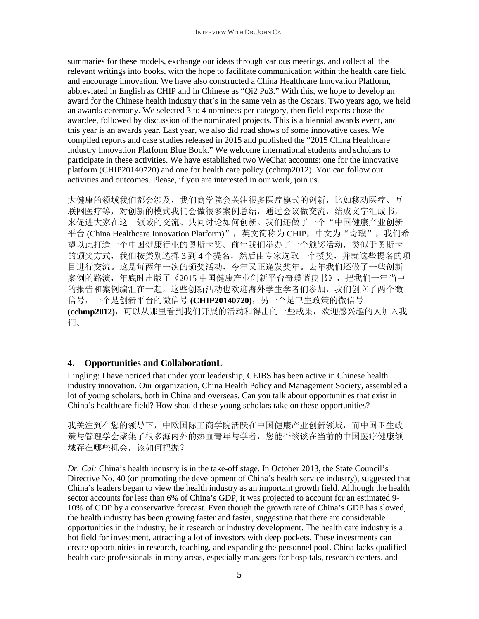summaries for these models, exchange our ideas through various meetings, and collect all the relevant writings into books, with the hope to facilitate communication within the health care field and encourage innovation. We have also constructed a China Healthcare Innovation Platform, abbreviated in English as CHIP and in Chinese as "Qi2 Pu3." With this, we hope to develop an award for the Chinese health industry that's in the same vein as the Oscars. Two years ago, we held an awards ceremony. We selected 3 to 4 nominees per category, then field experts chose the awardee, followed by discussion of the nominated projects. This is a biennial awards event, and this year is an awards year. Last year, we also did road shows of some innovative cases. We compiled reports and case studies released in 2015 and published the "2015 China Healthcare Industry Innovation Platform Blue Book." We welcome international students and scholars to participate in these activities. We have established two WeChat accounts: one for the innovative platform (CHIP20140720) and one for health care policy (cchmp2012). You can follow our activities and outcomes. Please, if you are interested in our work, join us.

大健康的领域我们都会涉及,我们商学院会关注很多医疗模式的创新,比如移动医疗、互 联网医疗等,对创新的模式我们会做很多案例总结,通过会议做交流,结成文字汇成书, 来促进大家在这一领域的交流、共同讨论如何创新。我们还做了一个"中国健康产业创新 平台 (China Healthcare Innovation Platform)", 英文简称为 CHIP, 中文为"奇璞", 我们希 望以此打造一个中国健康行业的奥斯卡奖。前年我们举办了一个颁奖活动,类似于奥斯卡 的颁奖方式,我们按类别选择3到4个提名,然后由专家选取一个授奖,并就这些提名的项 目进行交流。这是每两年一次的颁奖活动,今年又正逢发奖年。去年我们还做了一些创新 案例的路演,年底时出版了《2015 中国健康产业创新平台奇璞蓝皮书》,把我们一年当中 的报告和案例编汇在一起。这些创新活动也欢迎海外学生学者们参加,我们创立了两个微 信号,一个是创新平台的微信号 **(CHIP20140720)**,另一个是卫生政策的微信号 **(cchmp2012)**,可以从那里看到我们开展的活动和得出的一些成果,欢迎感兴趣的人加入我 们。

### **4. Opportunities and CollaborationL**

Lingling: I have noticed that under your leadership, CEIBS has been active in Chinese health industry innovation. Our organization, China Health Policy and Management Society, assembled a lot of young scholars, both in China and overseas. Can you talk about opportunities that exist in China's healthcare field? How should these young scholars take on these opportunities?

我关注到在您的领导下,中欧国际工商学院活跃在中国健康产业创新领域,而中国卫生政 策与管理学会聚集了很多海内外的热血青年与学者,您能否谈谈在当前的中国医疗健康领 域存在哪些机会,该如何把握?

*Dr. Cai:* China's health industry is in the take-off stage. In October 2013, the State Council's Directive No. 40 (on promoting the development of China's health service industry), suggested that China's leaders began to view the health industry as an important growth field. Although the health sector accounts for less than 6% of China's GDP, it was projected to account for an estimated 9- 10% of GDP by a conservative forecast. Even though the growth rate of China's GDP has slowed, the health industry has been growing faster and faster, suggesting that there are considerable opportunities in the industry, be it research or industry development. The health care industry is a hot field for investment, attracting a lot of investors with deep pockets. These investments can create opportunities in research, teaching, and expanding the personnel pool. China lacks qualified health care professionals in many areas, especially managers for hospitals, research centers, and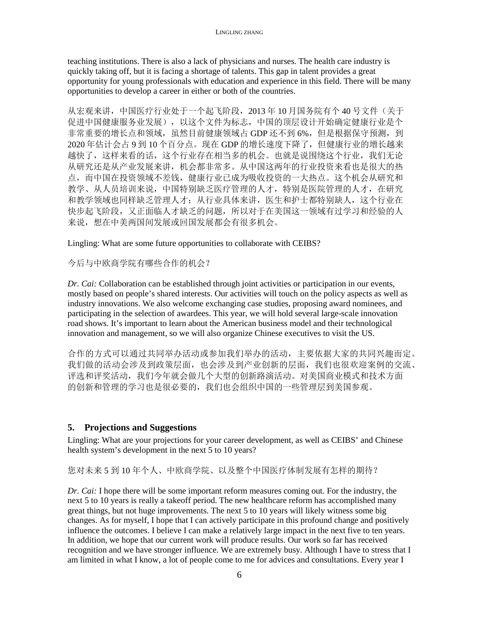teaching institutions. There is also a lack of physicians and nurses. The health care industry is quickly taking off, but it is facing a shortage of talents. This gap in talent provides a great opportunity for young professionals with education and experience in this field. There will be many opportunities to develop a career in either or both of the countries.

从宏观来讲,中国医疗行业处于一个起飞阶段,2013 年 10 月国务院有个 40 号文件(关于 促进中国健康服务业发展),以这个文件为标志,中国的顶层设计开始确定健康行业是个 非常重要的增长点和领域,虽然目前健康领域占 GDP 还不到 6%,但是根据保守预测,到 2020 年估计会占 9 到 10 个百分点。现在 GDP 的增长速度下降了, 但健康行业的增长越来 越快了,这样来看的话,这个行业存在相当多的机会。也就是说围绕这个行业,我们无论 从研究还是从产业发展来讲,机会都非常多。从中国这两年的行业投资来看也是很大的热 点,而中国在投资领域不差钱,健康行业已成为吸收投资的一大热点。这个机会从研究和 教学、从人员培训来说,中国特别缺乏医疗管理的人才,特别是医院管理的人才,在研究 和教学领域也同样缺乏管理人才;从行业具体来讲,医生和护士都特别缺人,这个行业在 快步起飞阶段,又正面临人才缺乏的问题,所以对于在美国这一领域有过学习和经验的人 来说,想在中美两国间发展或回国发展都会有很多机会。

Lingling: What are some future opportunities to collaborate with CEIBS?

今后与中欧商学院有哪些合作的机会?

*Dr. Cai:* Collaboration can be established through joint activities or participation in our events, mostly based on people's shared interests. Our activities will touch on the policy aspects as well as industry innovations. We also welcome exchanging case studies, proposing award nominees, and participating in the selection of awardees. This year, we will hold several large-scale innovation road shows. It's important to learn about the American business model and their technological innovation and management, so we will also organize Chinese executives to visit the US.

合作的方式可以通过共同举办活动或参加我们举办的活动,主要依据大家的共同兴趣而定。 我们做的活动会涉及到政策层面,也会涉及到产业创新的层面,我们也很欢迎案例的交流、 评选和评奖活动,我们今年就会做几个大型的创新路演活动。对美国商业模式和技术方面 的创新和管理的学习也是很必要的,我们也会组织中国的一些管理层到美国参观。

### **5. Projections and Suggestions**

Lingling: What are your projections for your career development, as well as CEIBS' and Chinese health system's development in the next 5 to 10 years?

您对未来 5 到 10 年个人、中欧商学院、以及整个中国医疗体制发展有怎样的期待?

*Dr. Cai:* I hope there will be some important reform measures coming out. For the industry, the next 5 to 10 years is really a takeoff period. The new healthcare reform has accomplished many great things, but not huge improvements. The next 5 to 10 years will likely witness some big changes. As for myself, I hope that I can actively participate in this profound change and positively influence the outcomes. I believe I can make a relatively large impact in the next five to ten years. In addition, we hope that our current work will produce results. Our work so far has received recognition and we have stronger influence. We are extremely busy. Although I have to stress that I am limited in what I know, a lot of people come to me for advices and consultations. Every year I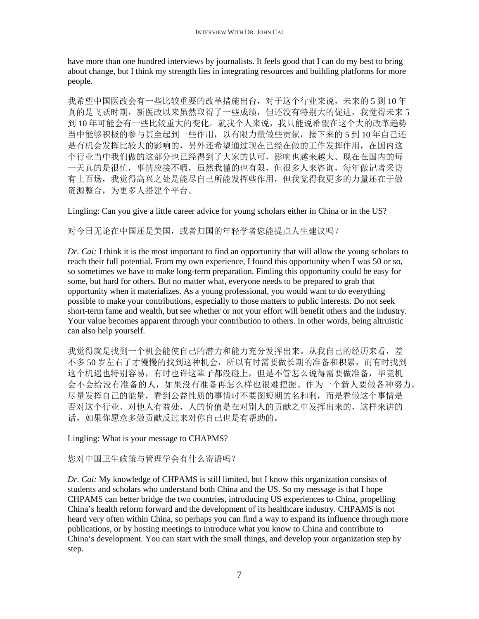have more than one hundred interviews by journalists. It feels good that I can do my best to bring about change, but I think my strength lies in integrating resources and building platforms for more people.

我希望中国医改会有一些比较重要的改革措施出台,对于这个行业来说,未来的 5 到 10 年 真的是飞跃时期,新医改以来虽然取得了一些成绩,但还没有特别大的促进,我觉得未来 5 到 10 年可能会有一些比较重大的变化。就我个人来说,我只能说希望在这个大的改革趋势 当中能够积极的参与甚至起到一些作用,以有限力量做些贡献,接下来的 5 到 10 年自己还 是有机会发挥比较大的影响的,另外还希望通过现在已经在做的工作发挥作用,在国内这 个行业当中我们做的这部分也已经得到了大家的认可,影响也越来越大。现在在国内的每 一天真的是很忙,事情应接不暇,虽然我懂的也有限,但很多人来咨询,每年做记者采访 有上百场,我觉得高兴之处是能尽自己所能发挥些作用,但我觉得我更多的力量还在于做 资源整合,为更多人搭建个平台。

Lingling: Can you give a little career advice for young scholars either in China or in the US?

对今日无论在中国还是美国,或者归国的年轻学者您能提点人生建议吗?

*Dr. Cai:* I think it is the most important to find an opportunity that will allow the young scholars to reach their full potential. From my own experience, I found this opportunity when I was 50 or so, so sometimes we have to make long-term preparation. Finding this opportunity could be easy for some, but hard for others. But no matter what, everyone needs to be prepared to grab that opportunity when it materializes. As a young professional, you would want to do everything possible to make your contributions, especially to those matters to public interests. Do not seek short-term fame and wealth, but see whether or not your effort will benefit others and the industry. Your value becomes apparent through your contribution to others. In other words, being altruistic can also help yourself.

我觉得就是找到一个机会能使自己的潜力和能力充分发挥出来。从我自己的经历来看,差 不多 50 岁左右了才慢慢的找到这种机会,所以有时需要做长期的准备和积累,而有时找到 这个机遇也特别容易,有时也许这辈子都没碰上,但是不管怎么说得需要做准备,毕竟机 会不会给没有准备的人,如果没有准备再怎么样也很难把握。作为一个新人要做各种努力, 尽量发挥自己的能量,看到公益性质的事情时不要图短期的名和利,而是看做这个事情是 否对这个行业、对他人有益处,人的价值是在对别人的贡献之中发挥出来的,这样来讲的 话,如果你愿意多做贡献反过来对你自己也是有帮助的。

Lingling: What is your message to CHAPMS?

您对中国卫生政策与管理学会有什么寄语吗?

*Dr. Cai:* My knowledge of CHPAMS is still limited, but I know this organization consists of students and scholars who understand both China and the US. So my message is that I hope CHPAMS can better bridge the two countries, introducing US experiences to China, propelling China's health reform forward and the development of its healthcare industry. CHPAMS is not heard very often within China, so perhaps you can find a way to expand its influence through more publications, or by hosting meetings to introduce what you know to China and contribute to China's development. You can start with the small things, and develop your organization step by step.